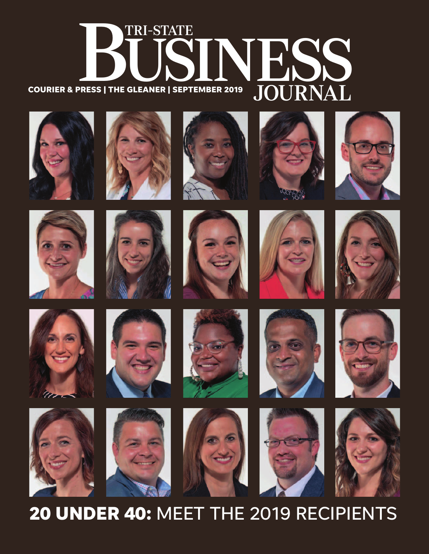## ER 2019 JOURNAL TRI-STATE **COURIER & PRESS | THE GLEANER | SEPTEMBER 2019**

















































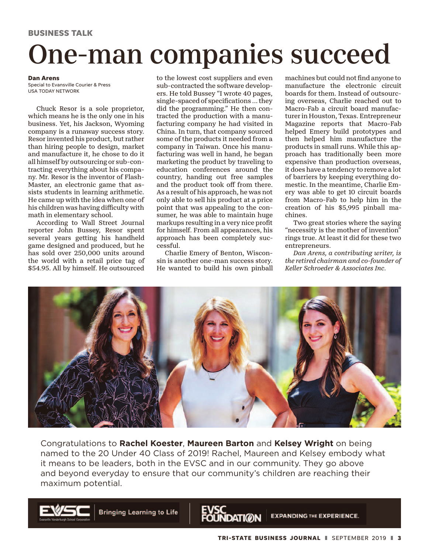## One-man companies succeed

#### **Dan Arens**

Special to Evansville Courier & Press USA TODAY NETWORK

Chuck Resor is a sole proprietor, which means he is the only one in his business. Yet, his Jackson, Wyoming company is a runaway success story. Resor invented his product, but rather than hiring people to design, market and manufacture it, he chose to do it all himself by outsourcing or sub-contracting everything about his company. Mr. Resor is the inventor of Flash-Master, an electronic game that assists students in learning arithmetic. He came up with the idea when one of his children was having difficulty with math in elementary school.

According to Wall Street Journal reporter John Bussey, Resor spent several years getting his handheld game designed and produced, but he has sold over 250,000 units around the world with a retail price tag of \$54.95. All by himself. He outsourced

to the lowest cost suppliers and even sub-contracted the software developers. He told Bussey "I wrote 40 pages, single-spaced of specifications ... they did the programming." He then contracted the production with a manufacturing company he had visited in China. In turn, that company sourced some of the products it needed from a company in Taiwan. Once his manufacturing was well in hand, he began marketing the product by traveling to education conferences around the country, handing out free samples and the product took off from there. As a result of his approach, he was not only able to sell his product at a price point that was appealing to the consumer, he was able to maintain huge markups resulting in a very nice profit for himself. From all appearances, his approach has been completely successful.

Charlie Emery of Benton, Wisconsin is another one-man success story. He wanted to build his own pinball machines but could not find anyone to manufacture the electronic circuit boards for them. Instead of outsourcing overseas, Charlie reached out to Macro-Fab a circuit board manufacturer in Houston, Texas. Entrepreneur Magazine reports that Macro-Fab helped Emery build prototypes and then helped him manufacture the products in small runs. While this approach has traditionally been more expensive than production overseas, it does have a tendency to remove a lot of barriers by keeping everything domestic. In the meantime, Charlie Emery was able to get 10 circuit boards from Macro-Fab to help him in the creation of his \$5,995 pinball machines.

Two great stories where the saying "necessity is the mother of invention" rings true. At least it did for these two entrepreneurs.

*Dan Arens, a contributing writer, is the retired chairman and co-founder of Keller Schroeder & Associates Inc.*



Congratulations to **Rachel Koester**, **Maureen Barton** and **Kelsey Wright** on being named to the 20 Under 40 Class of 2019! Rachel, Maureen and Kelsey embody what it means to be leaders, both in the EVSC and in our community. They go above and beyond everyday to ensure that our community's children are reaching their maximum potential.



**Bringing Learning to Life** 



**EXPANDING THE EXPERIENCE.**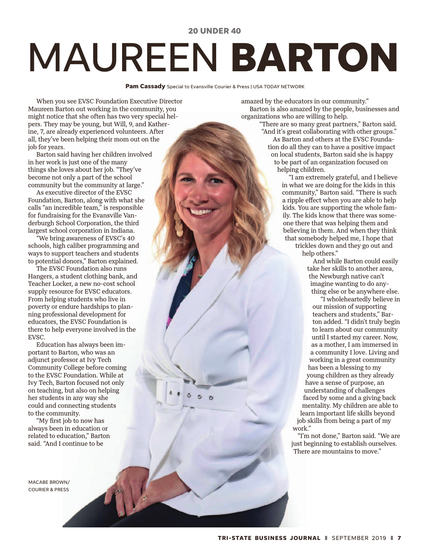#### **20 UNDER 40**

# MAUREEN **BARTON**

**Pam Cassady** Special to Evansville Courier & Press | USA TODAY NETWORK

When you see EVSC Foundation Executive Director Maureen Barton out working in the community, you might notice that she often has two very special helpers. They may be young, but Will, 9, and Katherine, 7, are already experienced volunteers. After all, they've been helping their mom out on the job for years.

Barton said having her children involved in her work is just one of the many things she loves about her job. "They've become not only a part of the school community but the community at large."

As executive director of the EVSC Foundation, Barton, along with what she calls "an incredible team," is responsible for fundraising for the Evansville Vanderburgh School Corporation, the third largest school corporation in Indiana.

"We bring awareness of EVSC's 40 schools, high caliber programming and ways to support teachers and students to potential donors," Barton explained.

The EVSC Foundation also runs Hangers, a student clothing bank, and Teacher Locker, a new no-cost school supply resource for EVSC educators. From helping students who live in poverty or endure hardships to planning professional development for educators, the EVSC Foundation is there to help everyone involved in the EVSC.

Education has always been important to Barton, who was an adjunct professor at Ivy Tech Community College before coming to the EVSC Foundation. While at Ivy Tech, Barton focused not only on teaching, but also on helping her students in any way she could and connecting students to the community.

"My first job to now has always been in education or related to education," Barton said. "And I continue to be

MACABE BROWN/ COURIER & PRESS

amazed by the educators in our community." Barton is also amazed by the people, businesses and organizations who are willing to help.

"There are so many great partners," Barton said. "And it's great collaborating with other groups." As Barton and others at the EVSC Foundation do all they can to have a positive impact on local students, Barton said she is happy to be part of an organization focused on helping children.

"I am extremely grateful, and I believe in what we are doing for the kids in this community," Barton said. "There is such a ripple effect when you are able to help kids. You are supporting the whole family. The kids know that there was someone there that was helping them and believing in them. And when they think that somebody helped me, I hope that

trickles down and they go out and help others."

And while Barton could easily take her skills to another area, the Newburgh native can't imagine wanting to do anything else or be anywhere else.

"I wholeheartedly believe in our mission of supporting teachers and students," Barton added. "I didn't truly begin to learn about our community until I started my career. Now, as a mother, I am immersed in a community I love. Living and working in a great community has been a blessing to my young children as they already have a sense of purpose, an understanding of challenges faced by some and a giving back mentality. My children are able to learn important life skills beyond job skills from being a part of my work."

"I'm not done," Barton said. "We are just beginning to establish ourselves. There are mountains to move."